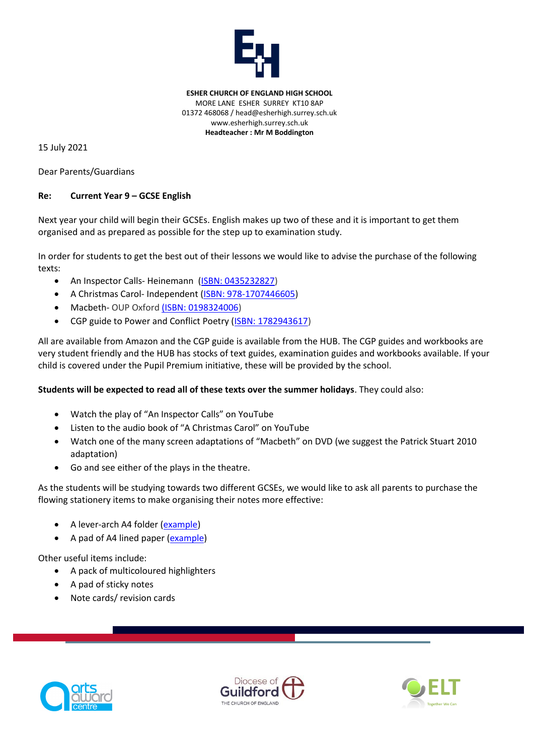

**ESHER CHURCH OF ENGLAND HIGH SCHOOL** MORE LANE ESHER SURREY KT10 8AP 01372 468068 / head@esherhigh.surrey.sch.uk www.esherhigh.surrey.sch.uk **Headteacher : Mr M Boddington**

15 July 2021

Dear Parents/Guardians

## **Re: Current Year 9 – GCSE English**

Next year your child will begin their GCSEs. English makes up two of these and it is important to get them organised and as prepared as possible for the step up to examination study.

In order for students to get the best out of their lessons we would like to advise the purchase of the following texts:

- An Inspector Calls-Heinemann [\(ISBN: 0435232827\)](https://www.amazon.co.uk/Inspector-Calls-Heinemann-Plays-14-16/dp/0435232827/ref=sr_1_3?keywords=0435232827&qid=1562755762&s=gateway&sr=8-3)
- A Christmas Carol- Independent (ISBN: [978-1707446605\)](https://smile.amazon.co.uk/Christmas-Carol-Annotation-Friendly-Ideal-students/dp/1707446601/ref=sr_1_3?crid=3OMYXKXIP9JY6&dchild=1&keywords=a+christmas+carol+student+friendly&qid=1626079745&sprefix=A+Christmas+Carol+student%2Caps%2C167&sr=8-3)
- Macbeth- OUP Oxfor[d \(ISBN: 0198324006\)](https://smile.amazon.co.uk/Oxford-School-Shakespeare-Macbeth-William/dp/0198324006/ref=sr_1_2?dchild=1&keywords=macbeth+oup&qid=1626093940&sr=8-2)
- CGP guide to Power and Conflict Poetry [\(ISBN: 1782943617\)](https://www.amazon.co.uk/s?k=ISBN%3A+1782943617&ref=nb_sb_noss)

All are available from Amazon and the CGP guide is available from the HUB. The CGP guides and workbooks are very student friendly and the HUB has stocks of text guides, examination guides and workbooks available. If your child is covered under the Pupil Premium initiative, these will be provided by the school.

## **Students will be expected to read all of these texts over the summer holidays**. They could also:

- Watch the play of "An Inspector Calls" on YouTube
- Listen to the audio book of "A Christmas Carol" on YouTube
- Watch one of the many screen adaptations of "Macbeth" on DVD (we suggest the Patrick Stuart 2010 adaptation)
- Go and see either of the plays in the theatre.

As the students will be studying towards two different GCSEs, we would like to ask all parents to purchase the flowing stationery items to make organising their notes more effective:

- A lever-arch A4 folder [\(example\)](https://www.amazon.co.uk/dp/B079WQRH4V/ref=cm_sw_em_r_mt_dp_U_keCjDbF9RYAGX)
- A pad of A4 lined paper [\(example\)](https://www.amazon.co.uk/dp/B007I0NA7K/ref=cm_sw_em_r_mt_dp_U_4fCjDbX75ARNT)

Other useful items include:

- A pack of multicoloured highlighters
- A pad of sticky notes
- Note cards/ revision cards